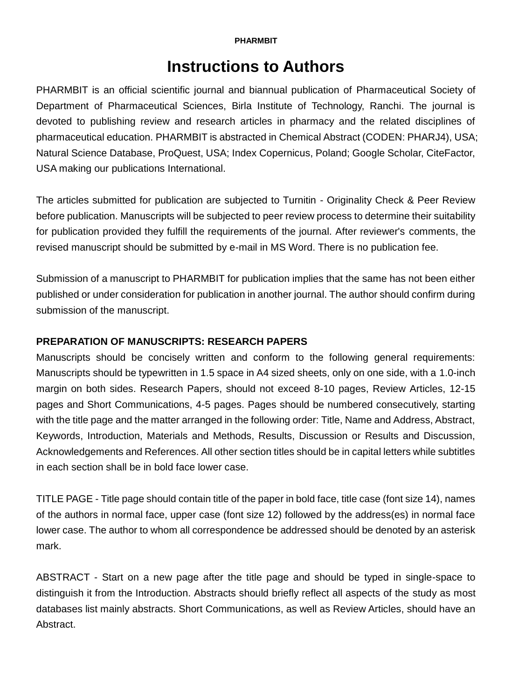#### **PHARMBIT**

# **Instructions to Authors**

PHARMBIT is an official scientific journal and biannual publication of Pharmaceutical Society of Department of Pharmaceutical Sciences, Birla Institute of Technology, Ranchi. The journal is devoted to publishing review and research articles in pharmacy and the related disciplines of pharmaceutical education. PHARMBIT is abstracted in Chemical Abstract (CODEN: PHARJ4), USA; Natural Science Database, ProQuest, USA; Index Copernicus, Poland; Google Scholar, CiteFactor, USA making our publications International.

The articles submitted for publication are subjected to Turnitin - Originality Check & Peer Review before publication. Manuscripts will be subjected to peer review process to determine their suitability for publication provided they fulfill the requirements of the journal. After reviewer's comments, the revised manuscript should be submitted by e-mail in MS Word. There is no publication fee.

Submission of a manuscript to PHARMBIT for publication implies that the same has not been either published or under consideration for publication in another journal. The author should confirm during submission of the manuscript.

# **PREPARATION OF MANUSCRIPTS: RESEARCH PAPERS**

Manuscripts should be concisely written and conform to the following general requirements: Manuscripts should be typewritten in 1.5 space in A4 sized sheets, only on one side, with a 1.0-inch margin on both sides. Research Papers, should not exceed 8-10 pages, Review Articles, 12-15 pages and Short Communications, 4-5 pages. Pages should be numbered consecutively, starting with the title page and the matter arranged in the following order: Title, Name and Address, Abstract, Keywords, Introduction, Materials and Methods, Results, Discussion or Results and Discussion, Acknowledgements and References. All other section titles should be in capital letters while subtitles in each section shall be in bold face lower case.

TITLE PAGE - Title page should contain title of the paper in bold face, title case (font size 14), names of the authors in normal face, upper case (font size 12) followed by the address(es) in normal face lower case. The author to whom all correspondence be addressed should be denoted by an asterisk mark.

ABSTRACT - Start on a new page after the title page and should be typed in single-space to distinguish it from the Introduction. Abstracts should briefly reflect all aspects of the study as most databases list mainly abstracts. Short Communications, as well as Review Articles, should have an Abstract.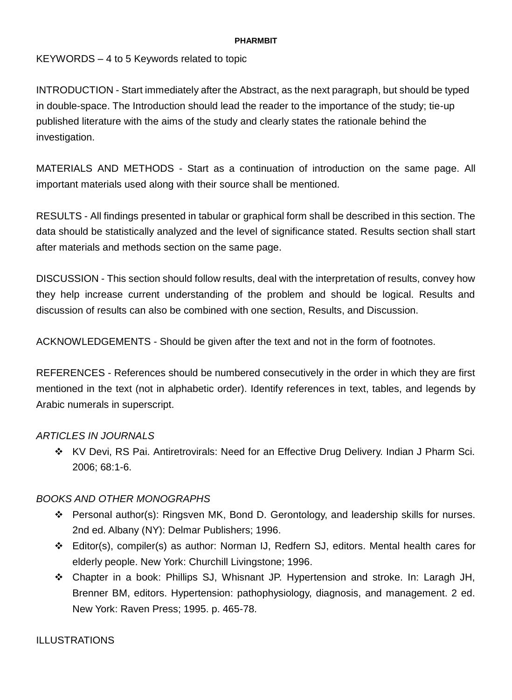#### **PHARMBIT**

KEYWORDS – 4 to 5 Keywords related to topic

INTRODUCTION - Start immediately after the Abstract, as the next paragraph, but should be typed in double-space. The Introduction should lead the reader to the importance of the study; tie-up published literature with the aims of the study and clearly states the rationale behind the investigation.

MATERIALS AND METHODS - Start as a continuation of introduction on the same page. All important materials used along with their source shall be mentioned.

RESULTS - All findings presented in tabular or graphical form shall be described in this section. The data should be statistically analyzed and the level of significance stated. Results section shall start after materials and methods section on the same page.

DISCUSSION - This section should follow results, deal with the interpretation of results, convey how they help increase current understanding of the problem and should be logical. Results and discussion of results can also be combined with one section, Results, and Discussion.

ACKNOWLEDGEMENTS - Should be given after the text and not in the form of footnotes.

REFERENCES - References should be numbered consecutively in the order in which they are first mentioned in the text (not in alphabetic order). Identify references in text, tables, and legends by Arabic numerals in superscript.

# *ARTICLES IN JOURNALS*

 KV Devi, RS Pai. Antiretrovirals: Need for an Effective Drug Delivery. Indian J Pharm Sci. 2006; 68:1-6.

# *BOOKS AND OTHER MONOGRAPHS*

- Personal author(s): Ringsven MK, Bond D. Gerontology, and leadership skills for nurses. 2nd ed. Albany (NY): Delmar Publishers; 1996.
- Editor(s), compiler(s) as author: Norman IJ, Redfern SJ, editors. Mental health cares for elderly people. New York: Churchill Livingstone; 1996.
- Chapter in a book: Phillips SJ, Whisnant JP. Hypertension and stroke. In: Laragh JH, Brenner BM, editors. Hypertension: pathophysiology, diagnosis, and management. 2 ed. New York: Raven Press; 1995. p. 465-78.

### ILLUSTRATIONS